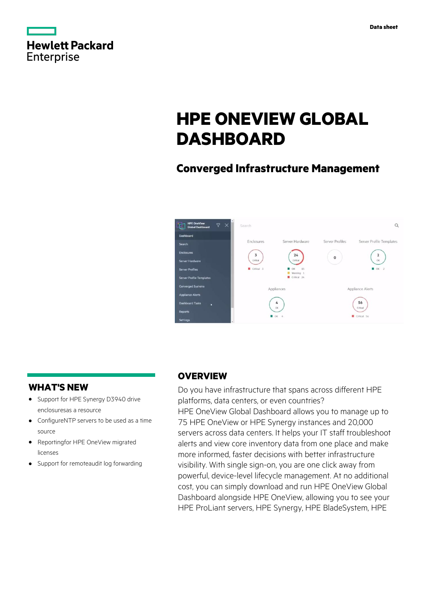|                   | <b>Hewlett Packard</b> |
|-------------------|------------------------|
| <b>Enterprise</b> |                        |

# **HPE ONEVIEW GLOBAL DASHBOARD**

# **Converged Infrastructure Management**



## **WHAT'S NEW**

- **·** Support for HPE Synergy D3940 drive enclosuresas a resource
- **·** ConfigureNTP servers to be used as a time source
- **·** Reportingfor HPE OneView migrated licenses
- **·** Support for remoteaudit log forwarding

### **OVERVIEW**

Do you have infrastructure that spans across different HPE platforms, data centers, or even countries? HPE OneView Global Dashboard allows you to manage up to 75 HPE OneView or HPE Synergy instances and 20,000 servers across data centers. It helps your IT staff troubleshoot alerts and view core inventory data from one place and make more informed, faster decisions with better infrastructure visibility. With single sign-on, you are one click away from powerful, device-level lifecycle management. At no additional cost, you can simply download and run HPE OneView Global Dashboard alongside HPE OneView, allowing you to see your HPE ProLiant servers, HPE Synergy, HPE BladeSystem, HPE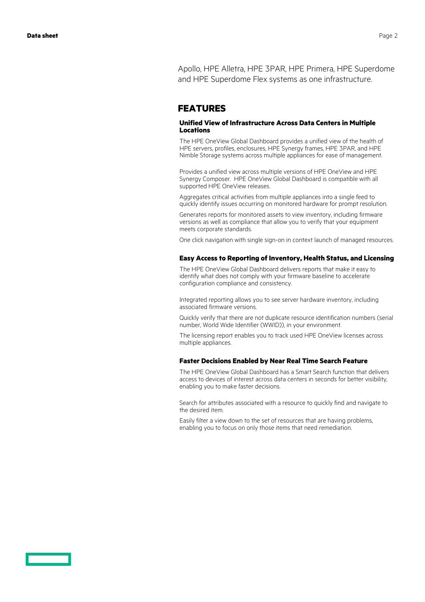Apollo, HPE Alletra, HPE 3PAR, HPE Primera, HPE Superdome and HPE Superdome Flex systems as one infrastructure.

### **FEATURES**

#### **Unified View of Infrastructure Across Data Centers in Multiple Locations**

The HPE OneView Global Dashboard provides a unified view of the health of HPE servers, profiles, enclosures, HPE Synergy frames, HPE 3PAR, and HPE Nimble Storage systems across multiple appliances for ease of management.

Provides a unified view across multiple versions of HPE OneView and HPE Synergy Composer. HPE OneView Global Dashboard is compatible with all supported HPE OneView releases.

Aggregates critical activities from multiple appliances into a single feed to quickly identify issues occurring on monitored hardware for prompt resolution.

Generates reports for monitored assets to view inventory, including firmware versions as well as compliance that allow you to verify that your equipment meets corporate standards.

One click navigation with single sign-on in context launch of managed resources.

#### **Easy Access to Reporting of Inventory, Health Status, and Licensing**

The HPE OneView Global Dashboard delivers reports that make it easy to identify what does not comply with your firmware baseline to accelerate configuration compliance and consistency.

Integrated reporting allows you to see server hardware inventory, including associated firmware versions.

Quickly verify that there are not duplicate resource identification numbers (serial number, World Wide Identifier (WWID)), in your environment.

The licensing report enables you to track used HPE OneView licenses across multiple appliances.

#### **Faster Decisions Enabled by Near Real Time Search Feature**

The HPE OneView Global Dashboard has a Smart Search function that delivers access to devices of interest across data centers in seconds for better visibility, enabling you to make faster decisions.

Search for attributes associated with a resource to quickly find and navigate to the desired item.

Easily filter a view down to the set of resources that are having problems, enabling you to focus on only those items that need remediation.